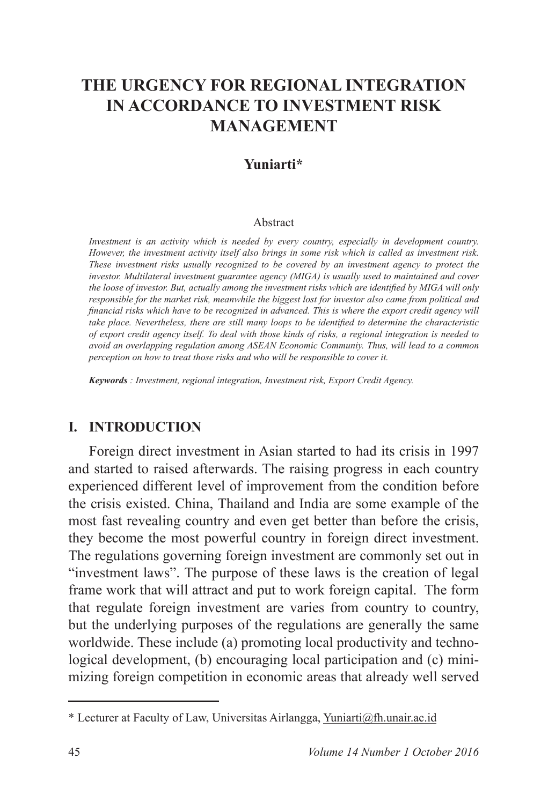# **THE URGENCY FOR REGIONAL INTEGRATION IN ACCORDANCE TO INVESTMENT RISK MANAGEMENT**

#### **Yuniarti\***

#### Abstract

*Investment is an activity which is needed by every country, especially in development country. However, the investment activity itself also brings in some risk which is called as investment risk. These investment risks usually recognized to be covered by an investment agency to protect the investor. Multilateral investment guarantee agency (MIGA) is usually used to maintained and cover*  the loose of investor. But, actually among the investment risks which are identified by MIGA will only *responsible for the market risk, meanwhile the biggest lost for investor also came from political and*  financial risks which have to be recognized in advanced. This is where the export credit agency will *take place. Nevertheless, there are still many loops to be identified to determine the characteristic of export credit agency itself. To deal with those kinds of risks, a regional integration is needed to avoid an overlapping regulation among ASEAN Economic Communiy. Thus, will lead to a common perception on how to treat those risks and who will be responsible to cover it.*

*Keywords : Investment, regional integration, Investment risk, Export Credit Agency.*

#### **I. INTRODUCTION**

Foreign direct investment in Asian started to had its crisis in 1997 and started to raised afterwards. The raising progress in each country experienced different level of improvement from the condition before the crisis existed. China, Thailand and India are some example of the most fast revealing country and even get better than before the crisis, they become the most powerful country in foreign direct investment. The regulations governing foreign investment are commonly set out in "investment laws". The purpose of these laws is the creation of legal frame work that will attract and put to work foreign capital. The form that regulate foreign investment are varies from country to country, but the underlying purposes of the regulations are generally the same worldwide. These include (a) promoting local productivity and technological development, (b) encouraging local participation and (c) minimizing foreign competition in economic areas that already well served

<sup>\*</sup> Lecturer at Faculty of Law, Universitas Airlangga, Yuniarti@fh.unair.ac.id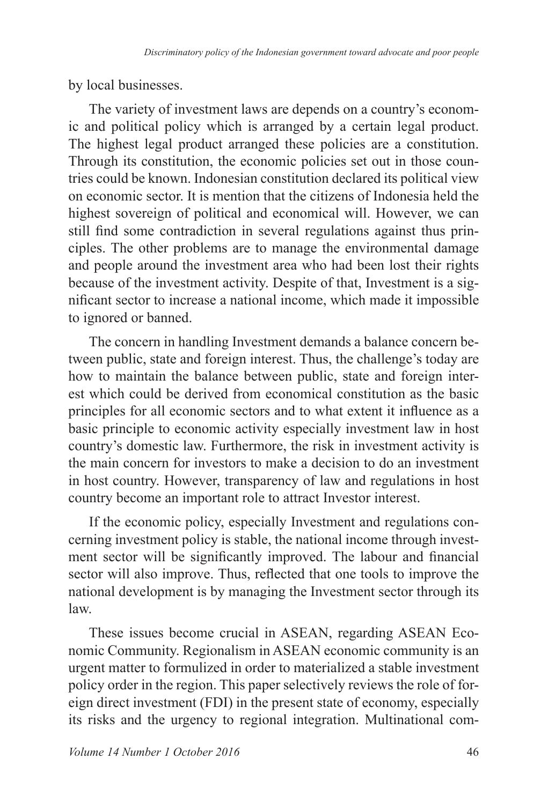by local businesses.

The variety of investment laws are depends on a country's economic and political policy which is arranged by a certain legal product. The highest legal product arranged these policies are a constitution. Through its constitution, the economic policies set out in those countries could be known. Indonesian constitution declared its political view on economic sector. It is mention that the citizens of Indonesia held the highest sovereign of political and economical will. However, we can still find some contradiction in several regulations against thus principles. The other problems are to manage the environmental damage and people around the investment area who had been lost their rights because of the investment activity. Despite of that, Investment is a significant sector to increase a national income, which made it impossible to ignored or banned.

The concern in handling Investment demands a balance concern between public, state and foreign interest. Thus, the challenge's today are how to maintain the balance between public, state and foreign interest which could be derived from economical constitution as the basic principles for all economic sectors and to what extent it influence as a basic principle to economic activity especially investment law in host country's domestic law. Furthermore, the risk in investment activity is the main concern for investors to make a decision to do an investment in host country. However, transparency of law and regulations in host country become an important role to attract Investor interest.

If the economic policy, especially Investment and regulations concerning investment policy is stable, the national income through investment sector will be significantly improved. The labour and financial sector will also improve. Thus, reflected that one tools to improve the national development is by managing the Investment sector through its law.

These issues become crucial in ASEAN, regarding ASEAN Economic Community. Regionalism in ASEAN economic community is an urgent matter to formulized in order to materialized a stable investment policy order in the region. This paper selectively reviews the role of foreign direct investment (FDI) in the present state of economy, especially its risks and the urgency to regional integration. Multinational com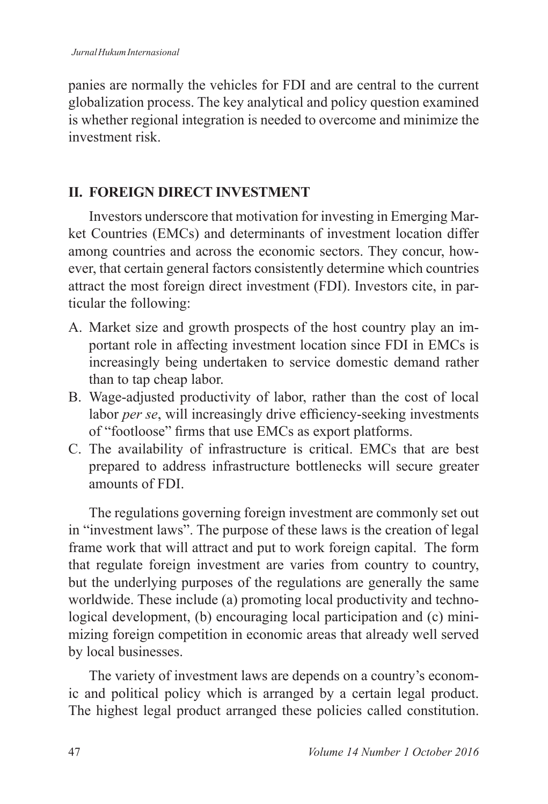panies are normally the vehicles for FDI and are central to the current globalization process. The key analytical and policy question examined is whether regional integration is needed to overcome and minimize the investment risk.

## **II. FOREIGN DIRECT INVESTMENT**

Investors underscore that motivation for investing in Emerging Market Countries (EMCs) and determinants of investment location differ among countries and across the economic sectors. They concur, however, that certain general factors consistently determine which countries attract the most foreign direct investment (FDI). Investors cite, in particular the following:

- A. Market size and growth prospects of the host country play an important role in affecting investment location since FDI in EMCs is increasingly being undertaken to service domestic demand rather than to tap cheap labor.
- B. Wage-adjusted productivity of labor, rather than the cost of local labor *per se*, will increasingly drive efficiency-seeking investments of "footloose" firms that use EMCs as export platforms.
- C. The availability of infrastructure is critical. EMCs that are best prepared to address infrastructure bottlenecks will secure greater amounts of FDI.

The regulations governing foreign investment are commonly set out in "investment laws". The purpose of these laws is the creation of legal frame work that will attract and put to work foreign capital. The form that regulate foreign investment are varies from country to country, but the underlying purposes of the regulations are generally the same worldwide. These include (a) promoting local productivity and technological development, (b) encouraging local participation and (c) minimizing foreign competition in economic areas that already well served by local businesses.

The variety of investment laws are depends on a country's economic and political policy which is arranged by a certain legal product. The highest legal product arranged these policies called constitution.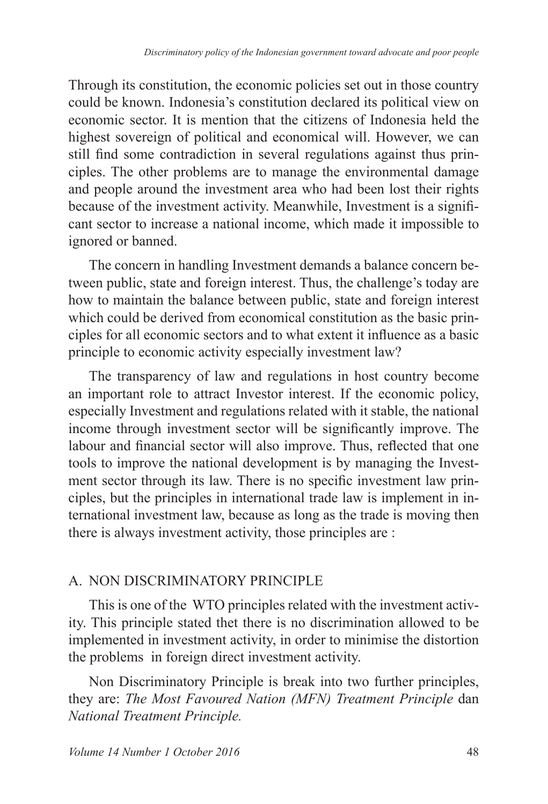Through its constitution, the economic policies set out in those country could be known. Indonesia's constitution declared its political view on economic sector. It is mention that the citizens of Indonesia held the highest sovereign of political and economical will. However, we can still find some contradiction in several regulations against thus principles. The other problems are to manage the environmental damage and people around the investment area who had been lost their rights because of the investment activity. Meanwhile, Investment is a significant sector to increase a national income, which made it impossible to ignored or banned.

The concern in handling Investment demands a balance concern between public, state and foreign interest. Thus, the challenge's today are how to maintain the balance between public, state and foreign interest which could be derived from economical constitution as the basic principles for all economic sectors and to what extent it influence as a basic principle to economic activity especially investment law?

The transparency of law and regulations in host country become an important role to attract Investor interest. If the economic policy, especially Investment and regulations related with it stable, the national income through investment sector will be significantly improve. The labour and financial sector will also improve. Thus, reflected that one tools to improve the national development is by managing the Investment sector through its law. There is no specific investment law principles, but the principles in international trade law is implement in international investment law, because as long as the trade is moving then there is always investment activity, those principles are :

## A. NON DISCRIMINATORY PRINCIPLE

This is one of the WTO principles related with the investment activity. This principle stated thet there is no discrimination allowed to be implemented in investment activity, in order to minimise the distortion the problems in foreign direct investment activity.

Non Discriminatory Principle is break into two further principles, they are: *The Most Favoured Nation (MFN) Treatment Principle* dan *National Treatment Principle.*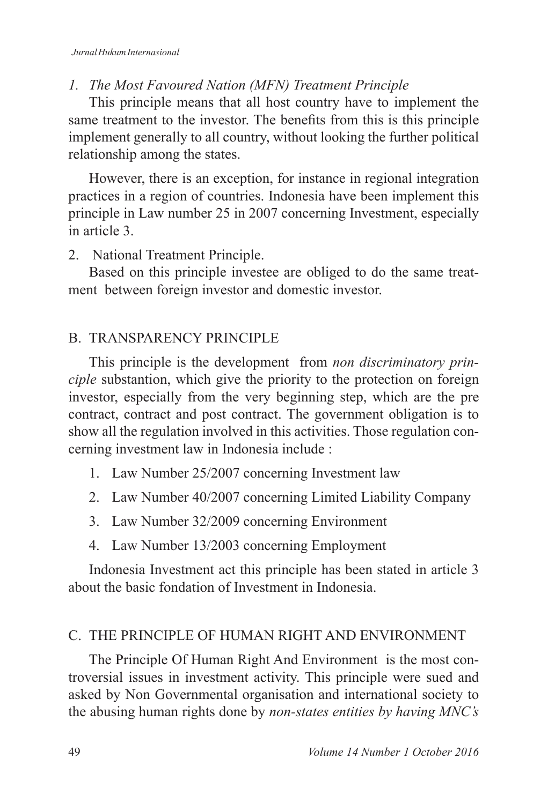## *1. The Most Favoured Nation (MFN) Treatment Principle*

This principle means that all host country have to implement the same treatment to the investor. The benefits from this is this principle implement generally to all country, without looking the further political relationship among the states.

However, there is an exception, for instance in regional integration practices in a region of countries. Indonesia have been implement this principle in Law number 25 in 2007 concerning Investment, especially in article 3.

2. National Treatment Principle.

Based on this principle investee are obliged to do the same treatment between foreign investor and domestic investor.

## B. TRANSPARENCY PRINCIPLE

This principle is the development from *non discriminatory principle* substantion, which give the priority to the protection on foreign investor, especially from the very beginning step, which are the pre contract, contract and post contract. The government obligation is to show all the regulation involved in this activities. Those regulation concerning investment law in Indonesia include :

- 1. Law Number 25/2007 concerning Investment law
- 2. Law Number 40/2007 concerning Limited Liability Company
- 3. Law Number 32/2009 concerning Environment
- 4. Law Number 13/2003 concerning Employment

Indonesia Investment act this principle has been stated in article 3 about the basic fondation of Investment in Indonesia.

## C. THE PRINCIPLE OF HUMAN RIGHT AND ENVIRONMENT

The Principle Of Human Right And Environment is the most controversial issues in investment activity. This principle were sued and asked by Non Governmental organisation and international society to the abusing human rights done by *non-states entities by having MNC's*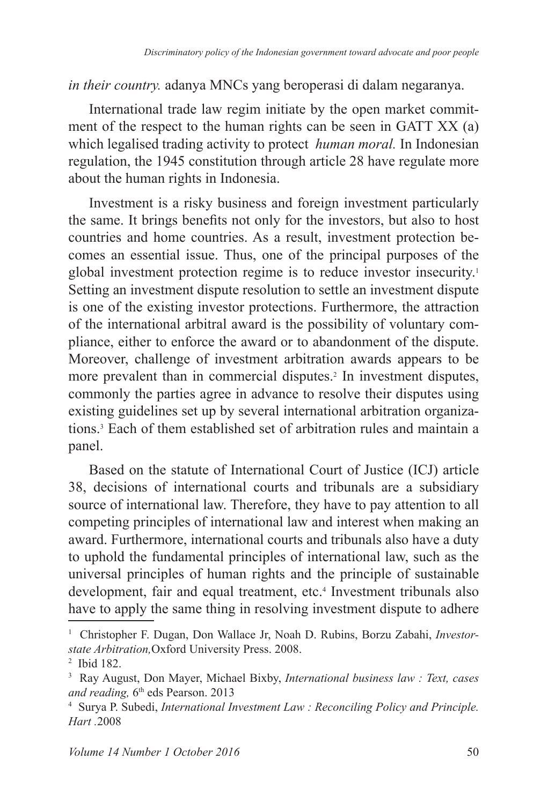*in their country.* adanya MNCs yang beroperasi di dalam negaranya.

International trade law regim initiate by the open market commitment of the respect to the human rights can be seen in GATT XX (a) which legalised trading activity to protect *human moral.* In Indonesian regulation, the 1945 constitution through article 28 have regulate more about the human rights in Indonesia.

Investment is a risky business and foreign investment particularly the same. It brings benefits not only for the investors, but also to host countries and home countries. As a result, investment protection becomes an essential issue. Thus, one of the principal purposes of the global investment protection regime is to reduce investor insecurity.<sup>1</sup> Setting an investment dispute resolution to settle an investment dispute is one of the existing investor protections. Furthermore, the attraction of the international arbitral award is the possibility of voluntary compliance, either to enforce the award or to abandonment of the dispute. Moreover, challenge of investment arbitration awards appears to be more prevalent than in commercial disputes. In investment disputes, commonly the parties agree in advance to resolve their disputes using existing guidelines set up by several international arbitration organizations.<sup>3</sup> Each of them established set of arbitration rules and maintain a panel.

Based on the statute of International Court of Justice (ICJ) article 38, decisions of international courts and tribunals are a subsidiary source of international law. Therefore, they have to pay attention to all competing principles of international law and interest when making an award. Furthermore, international courts and tribunals also have a duty to uphold the fundamental principles of international law, such as the universal principles of human rights and the principle of sustainable development, fair and equal treatment, etc.<sup>4</sup> Investment tribunals also have to apply the same thing in resolving investment dispute to adhere

<sup>&</sup>lt;sup>1</sup> Christopher F. Dugan, Don Wallace Jr, Noah D. Rubins, Borzu Zabahi, *Investor*state Arbitration, Oxford University Press. 2008.

 $2$  Ibid 182.

<sup>3</sup> Ray August, Don Mayer, Michael Bixby, *International business law : Text, cases*  and reading, 6<sup>th</sup> eds Pearson. 2013

<sup>4</sup> Surya P. Subedi, *International Investment Law : Reconciling Policy and Principle. Hart .*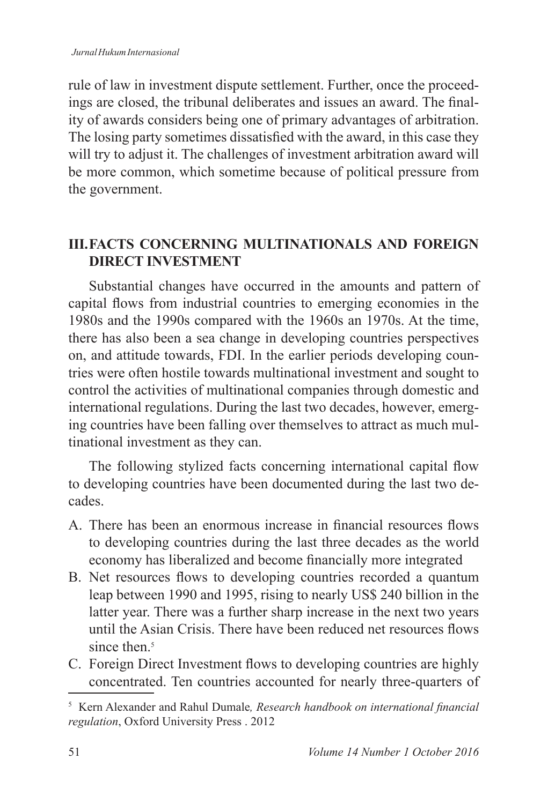rule of law in investment dispute settlement. Further, once the proceedings are closed, the tribunal deliberates and issues an award. The finality of awards considers being one of primary advantages of arbitration. The losing party sometimes dissatisfied with the award, in this case they will try to adjust it. The challenges of investment arbitration award will be more common, which sometime because of political pressure from the government.

## **III. FACTS CONCERNING MULTINATIONALS AND FOREIGN DIRECT INVESTMENT**

Substantial changes have occurred in the amounts and pattern of capital flows from industrial countries to emerging economies in the 1980s and the 1990s compared with the 1960s an 1970s. At the time, there has also been a sea change in developing countries perspectives on, and attitude towards, FDI. In the earlier periods developing countries were often hostile towards multinational investment and sought to control the activities of multinational companies through domestic and international regulations. During the last two decades, however, emerging countries have been falling over themselves to attract as much multinational investment as they can.

The following stylized facts concerning international capital flow to developing countries have been documented during the last two decades.

- A. There has been an enormous increase in financial resources flows to developing countries during the last three decades as the world economy has liberalized and become financially more integrated
- B. Net resources flows to developing countries recorded a quantum leap between 1990 and 1995, rising to nearly US\$ 240 billion in the latter year. There was a further sharp increase in the next two years until the Asian Crisis. There have been reduced net resources flows since then<sup>5</sup>
- C. Foreign Direct Investment flows to developing countries are highly concentrated. Ten countries accounted for nearly three-quarters of

<sup>&</sup>lt;sup>5</sup> Kern Alexander and Rahul Dumale, Research handbook on international financial *regulation*, Oxford University Press . 2012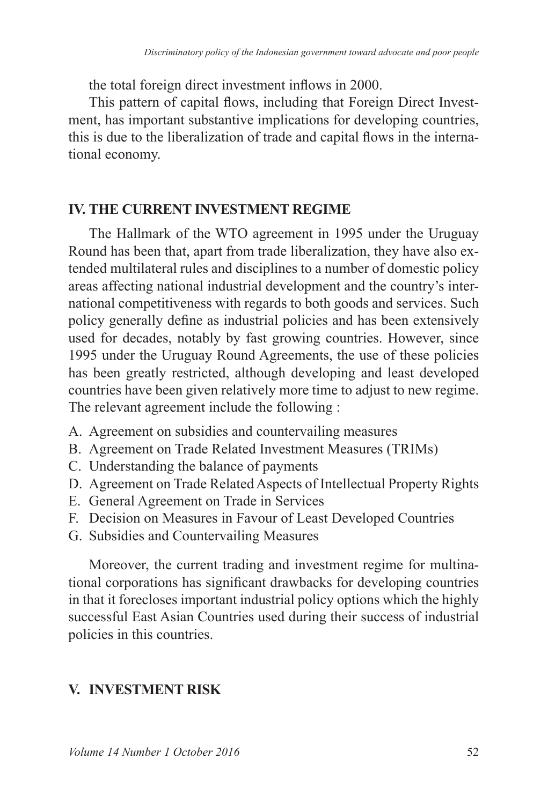the total foreign direct investment inflows in 2000.

This pattern of capital flows, including that Foreign Direct Investment, has important substantive implications for developing countries, this is due to the liberalization of trade and capital flows in the international economy.

## **IV. THE CURRENT INVESTMENT REGIME**

The Hallmark of the WTO agreement in 1995 under the Uruguay Round has been that, apart from trade liberalization, they have also extended multilateral rules and disciplines to a number of domestic policy areas affecting national industrial development and the country's international competitiveness with regards to both goods and services. Such policy generally define as industrial policies and has been extensively used for decades, notably by fast growing countries. However, since 1995 under the Uruguay Round Agreements, the use of these policies has been greatly restricted, although developing and least developed countries have been given relatively more time to adjust to new regime. The relevant agreement include the following :

- A. Agreement on subsidies and countervailing measures
- B. Agreement on Trade Related Investment Measures (TRIMs)
- C. Understanding the balance of payments
- D. Agreement on Trade Related Aspects of Intellectual Property Rights
- E. General Agreement on Trade in Services
- F. Decision on Measures in Favour of Least Developed Countries
- G. Subsidies and Countervailing Measures

Moreover, the current trading and investment regime for multinational corporations has significant drawbacks for developing countries in that it forecloses important industrial policy options which the highly successful East Asian Countries used during their success of industrial policies in this countries.

## **V. INVESTMENT RISK**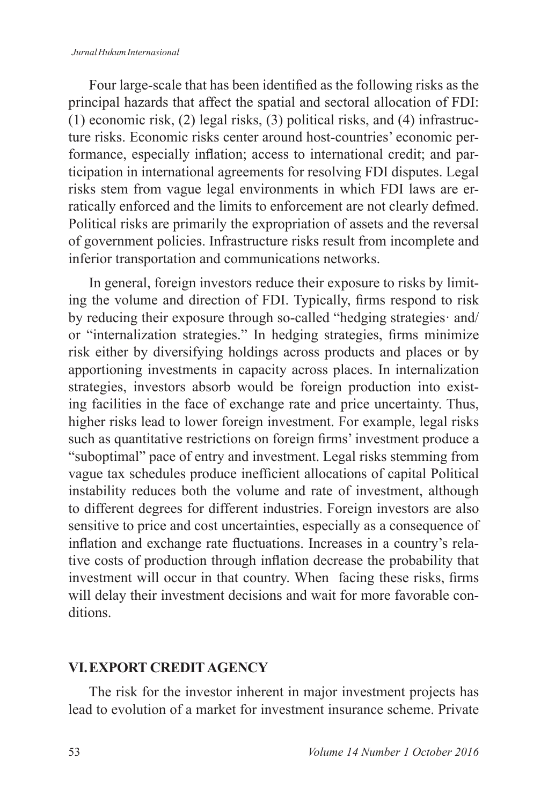#### *Jurnal Hukum Internasional*

Four large-scale that has been identified as the following risks as the principal hazards that affect the spatial and sectoral allocation of FDI:  $(1)$  economic risk,  $(2)$  legal risks,  $(3)$  political risks, and  $(4)$  infrastructure risks. Economic risks center around host-countries' economic performance, especially inflation; access to international credit; and participation in international agreements for resolving FDI disputes. Legal risks stem from vague legal environments in which FDI laws are erratically enforced and the limits to enforcement are not clearly defmed. Political risks are primarily the expropriation of assets and the reversal of government policies. Infrastructure risks result from incomplete and inferior transportation and communications networks.

In general, foreign investors reduce their exposure to risks by limiting the volume and direction of FDI. Typically, firms respond to risk by reducing their exposure through so-called "hedging strategies· and/ or "internalization strategies." In hedging strategies, firms minimize risk either by diversifying holdings across products and places or by apportioning investments in capacity across places. In internalization strategies, investors absorb would be foreign production into existing facilities in the face of exchange rate and price uncertainty. Thus, higher risks lead to lower foreign investment. For example, legal risks such as quantitative restrictions on foreign firms' investment produce a "suboptimal" pace of entry and investment. Legal risks stemming from vague tax schedules produce inefficient allocations of capital Political instability reduces both the volume and rate of investment, although to different degrees for different industries. Foreign investors are also sensitive to price and cost uncertainties, especially as a consequence of inflation and exchange rate fluctuations. Increases in a country's relative costs of production through inflation decrease the probability that investment will occur in that country. When facing these risks, firms will delay their investment decisions and wait for more favorable conditions.

### **VI. EXPORT CREDIT AGENCY**

The risk for the investor inherent in major investment projects has lead to evolution of a market for investment insurance scheme. Private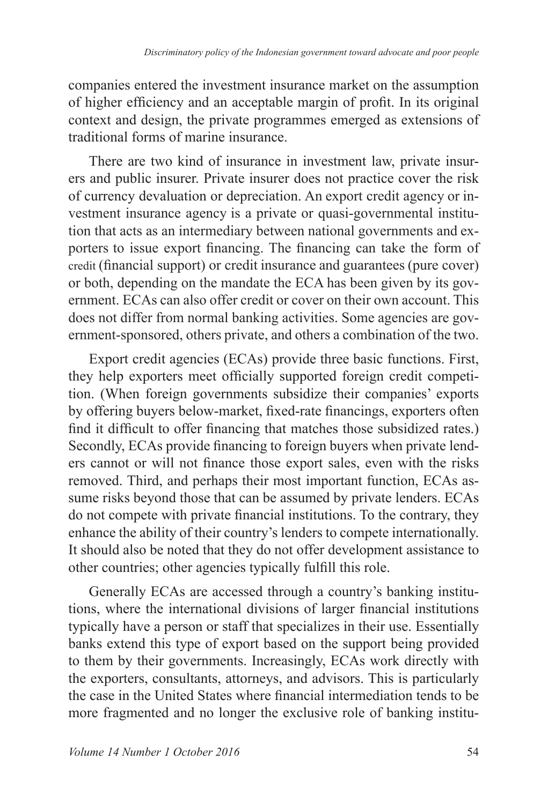companies entered the investment insurance market on the assumption of higher efficiency and an acceptable margin of profit. In its original context and design, the private programmes emerged as extensions of traditional forms of marine insurance.

There are two kind of insurance in investment law, private insurers and public insurer. Private insurer does not practice cover the risk of currency devaluation or depreciation. An export credit agency or investment insurance agency is a private or quasi-governmental institution that acts as an intermediary between national governments and exporters to issue export financing. The financing can take the form of credit (financial support) or credit insurance and guarantees (pure cover) or both, depending on the mandate the ECA has been given by its government. ECAs can also offer credit or cover on their own account. This does not differ from normal banking activities. Some agencies are government-sponsored, others private, and others a combination of the two.

Export credit agencies (ECAs) provide three basic functions. First, they help exporters meet officially supported foreign credit competition. (When foreign governments subsidize their companies' exports by offering buyers below-market, fixed-rate financings, exporters often find it difficult to offer financing that matches those subsidized rates.) Secondly, ECAs provide financing to foreign buyers when private lenders cannot or will not finance those export sales, even with the risks removed. Third, and perhaps their most important function, ECAs assume risks beyond those that can be assumed by private lenders. ECAs do not compete with private financial institutions. To the contrary, they enhance the ability of their country's lenders to compete internationally. It should also be noted that they do not offer development assistance to other countries; other agencies typically fulfill this role.

Generally ECAs are accessed through a country's banking institutions, where the international divisions of larger financial institutions typically have a person or staff that specializes in their use. Essentially banks extend this type of export based on the support being provided to them by their governments. Increasingly, ECAs work directly with the exporters, consultants, attorneys, and advisors. This is particularly the case in the United States where financial intermediation tends to be more fragmented and no longer the exclusive role of banking institu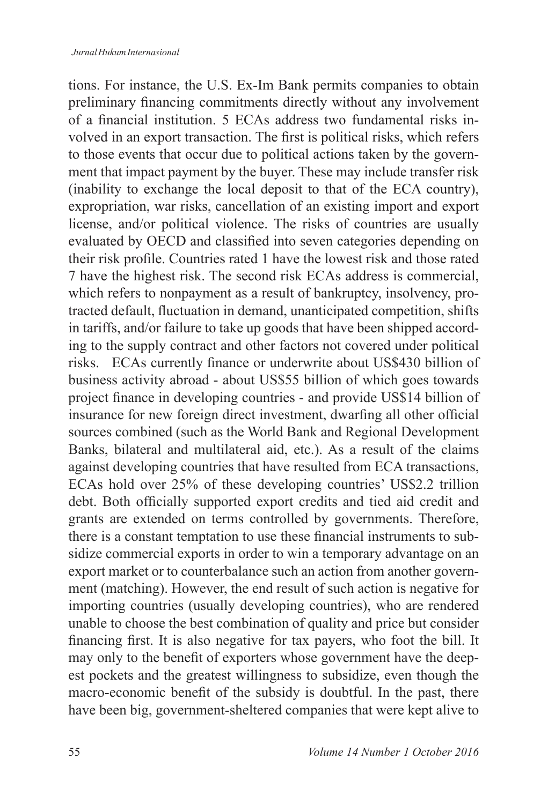tions. For instance, the U.S. Ex-Im Bank permits companies to obtain preliminary financing commitments directly without any involvement of a financial institution. 5 ECAs address two fundamental risks involved in an export transaction. The first is political risks, which refers to those events that occur due to political actions taken by the government that impact payment by the buyer. These may include transfer risk (inability to exchange the local deposit to that of the ECA country), expropriation, war risks, cancellation of an existing import and export license, and/or political violence. The risks of countries are usually evaluated by OECD and classified into seven categories depending on their risk profile. Countries rated 1 have the lowest risk and those rated 7 have the highest risk. The second risk ECAs address is commercial, which refers to nonpayment as a result of bankruptcy, insolvency, protracted default, fluctuation in demand, unanticipated competition, shifts in tariffs, and/or failure to take up goods that have been shipped according to the supply contract and other factors not covered under political risks. ECAs currently finance or underwrite about US\$430 billion of business activity abroad - about US\$55 billion of which goes towards project finance in developing countries - and provide US\$14 billion of insurance for new foreign direct investment, dwarfing all other official sources combined (such as the World Bank and Regional Development Banks, bilateral and multilateral aid, etc.). As a result of the claims against developing countries that have resulted from ECA transactions, ECAs hold over  $25%$  of these developing countries' US\$2.2 trillion debt. Both officially supported export credits and tied aid credit and grants are extended on terms controlled by governments. Therefore, there is a constant temptation to use these financial instruments to subsidize commercial exports in order to win a temporary advantage on an export market or to counterbalance such an action from another government (matching). However, the end result of such action is negative for importing countries (usually developing countries), who are rendered unable to choose the best combination of quality and price but consider financing first. It is also negative for tax payers, who foot the bill. It may only to the benefit of exporters whose government have the deepest pockets and the greatest willingness to subsidize, even though the macro-economic benefit of the subsidy is doubtful. In the past, there have been big, government-sheltered companies that were kept alive to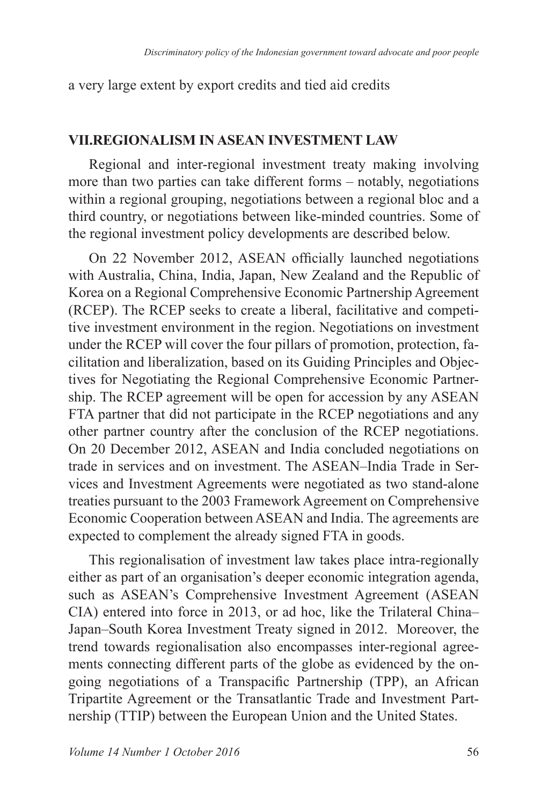#### a very large extent by export credits and tied aid credits

#### **VII.REGIONALISM IN ASEAN INVESTMENT LAW**

Regional and inter-regional investment treaty making involving more than two parties can take different forms  $-$  notably, negotiations within a regional grouping, negotiations between a regional bloc and a third country, or negotiations between like-minded countries. Some of the regional investment policy developments are described below.

On 22 November 2012, ASEAN officially launched negotiations with Australia, China, India, Japan, New Zealand and the Republic of Korea on a Regional Comprehensive Economic Partnership Agreement (RCEP). The RCEP seeks to create a liberal, facilitative and competitive investment environment in the region. Negotiations on investment under the RCEP will cover the four pillars of promotion, protection, facilitation and liberalization, based on its Guiding Principles and Objectives for Negotiating the Regional Comprehensive Economic Partnership. The RCEP agreement will be open for accession by any ASEAN FTA partner that did not participate in the RCEP negotiations and any other partner country after the conclusion of the RCEP negotiations. On 20 December 2012, ASEAN and India concluded negotiations on trade in services and on investment. The ASEAN–India Trade in Services and Investment Agreements were negotiated as two stand-alone treaties pursuant to the 2003 Framework Agreement on Comprehensive Economic Cooperation between ASEAN and India. The agreements are expected to complement the already signed FTA in goods.

This regionalisation of investment law takes place intra-regionally either as part of an organisation's deeper economic integration agenda, such as ASEAN's Comprehensive Investment Agreement (ASEAN CIA) entered into force in 2013, or ad hoc, like the Trilateral China-Japan-South Korea Investment Treaty signed in 2012. Moreover, the trend towards regionalisation also encompasses inter-regional agreements connecting different parts of the globe as evidenced by the ongoing negotiations of a Transpacific Partnership (TPP), an African Tripartite Agreement or the Transatlantic Trade and Investment Partnership (TTIP) between the European Union and the United States.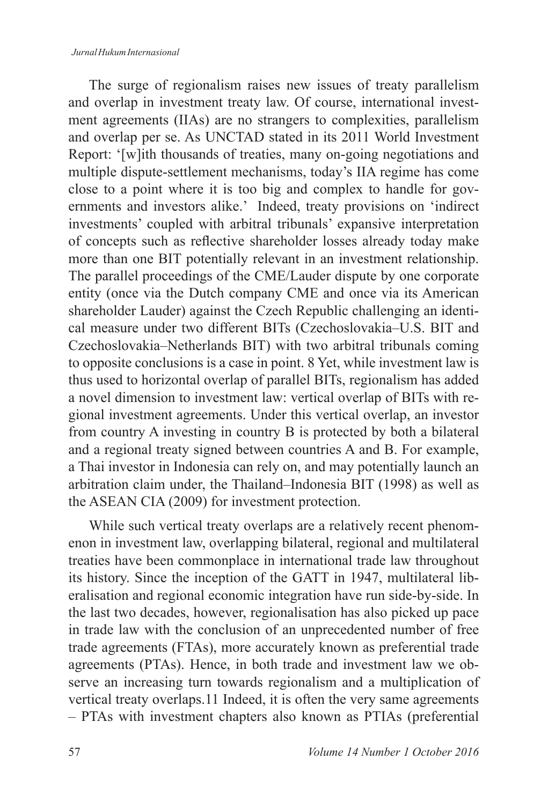The surge of regionalism raises new issues of treaty parallelism and overlap in investment treaty law. Of course, international investment agreements (IIAs) are no strangers to complexities, parallelism and overlap per se. As UNCTAD stated in its 2011 World Investment Report: '[w]ith thousands of treaties, many on-going negotiations and multiple dispute-settlement mechanisms, today's IIA regime has come close to a point where it is too big and complex to handle for governments and investors alike.' Indeed, treaty provisions on 'indirect investments' coupled with arbitral tribunals' expansive interpretation of concepts such as reflective shareholder losses already today make more than one BIT potentially relevant in an investment relationship. The parallel proceedings of the CME/Lauder dispute by one corporate entity (once via the Dutch company CME and once via its American shareholder Lauder) against the Czech Republic challenging an identical measure under two different BITs (Czechoslovakia-U.S. BIT and Czechoslovakia–Netherlands BIT) with two arbitral tribunals coming to opposite conclusions is a case in point. 8 Yet, while investment law is thus used to horizontal overlap of parallel BITs, regionalism has added a novel dimension to investment law: vertical overlap of BITs with regional investment agreements. Under this vertical overlap, an investor from country A investing in country B is protected by both a bilateral and a regional treaty signed between countries A and B. For example, a Thai investor in Indonesia can rely on, and may potentially launch an arbitration claim under, the Thailand-Indonesia BIT (1998) as well as the ASEAN CIA  $(2009)$  for investment protection.

While such vertical treaty overlaps are a relatively recent phenomenon in investment law, overlapping bilateral, regional and multilateral treaties have been commonplace in international trade law throughout its history. Since the inception of the GATT in 1947, multilateral liberalisation and regional economic integration have run side-by-side. In the last two decades, however, regionalisation has also picked up pace in trade law with the conclusion of an unprecedented number of free trade agreements (FTAs), more accurately known as preferential trade agreements (PTAs). Hence, in both trade and investment law we observe an increasing turn towards regionalism and a multiplication of vertical treaty overlaps.11 Indeed, it is often the very same agreements - PTAs with investment chapters also known as PTIAs (preferential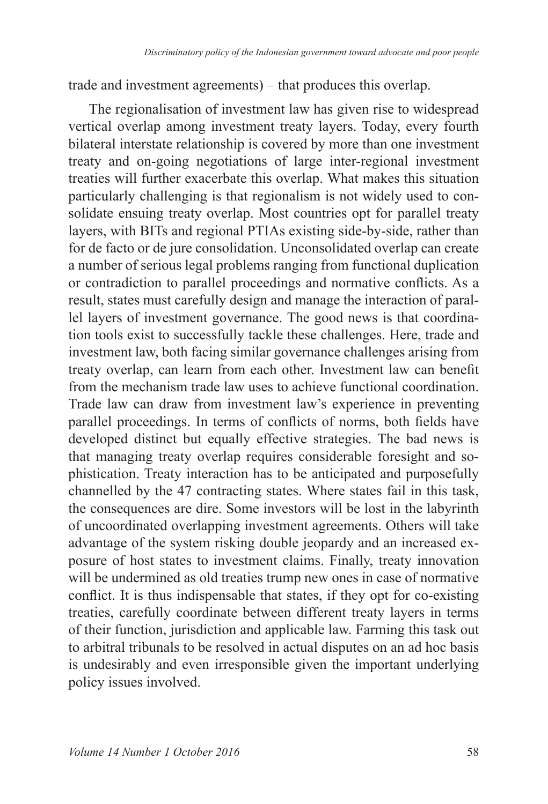trade and investment agreements) – that produces this overlap.

The regionalisation of investment law has given rise to widespread vertical overlap among investment treaty layers. Today, every fourth bilateral interstate relationship is covered by more than one investment treaty and on-going negotiations of large inter-regional investment treaties will further exacerbate this overlap. What makes this situation particularly challenging is that regionalism is not widely used to consolidate ensuing treaty overlap. Most countries opt for parallel treaty layers, with BITs and regional PTIAs existing side-by-side, rather than for de facto or de jure consolidation. Unconsolidated overlap can create a number of serious legal problems ranging from functional duplication or contradiction to parallel proceedings and normative conflicts. As a result, states must carefully design and manage the interaction of parallel layers of investment governance. The good news is that coordination tools exist to successfully tackle these challenges. Here, trade and investment law, both facing similar governance challenges arising from treaty overlap, can learn from each other. Investment law can benefit from the mechanism trade law uses to achieve functional coordination. Trade law can draw from investment law's experience in preventing parallel proceedings. In terms of conflicts of norms, both fields have developed distinct but equally effective strategies. The bad news is that managing treaty overlap requires considerable foresight and sophistication. Treaty interaction has to be anticipated and purposefully channelled by the 47 contracting states. Where states fail in this task, the consequences are dire. Some investors will be lost in the labyrinth of uncoordinated overlapping investment agreements. Others will take advantage of the system risking double jeopardy and an increased exposure of host states to investment claims. Finally, treaty innovation will be undermined as old treaties trump new ones in case of normative conflict. It is thus indispensable that states, if they opt for co-existing treaties, carefully coordinate between different treaty layers in terms of their function, jurisdiction and applicable law. Farming this task out to arbitral tribunals to be resolved in actual disputes on an ad hoc basis is undesirably and even irresponsible given the important underlying policy issues involved.